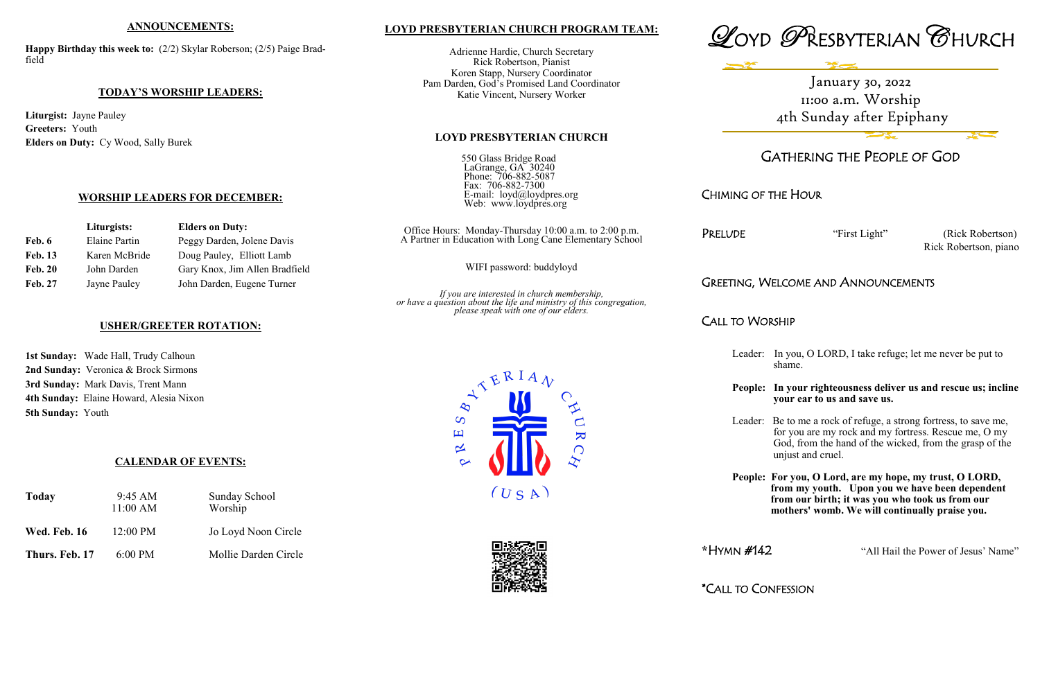## **LOYD PRESBYTERIAN CHURCH PROGRAM TEAM:**

Adrienne Hardie, Church Secretary Rick Robertson, Pianist Koren Stapp, Nursery Coordinator Pam Darden, God's Promised Land Coordinator Katie Vincent, Nursery Worker

#### **LOYD PRESBYTERIAN CHURCH**

550 Glass Bridge Road LaGrange, GA 30240 Phone: 706-882-5087 Fax: 706-882-7300 E-mail: loyd@loydpres.org Web: www.loydpres.org

> PRELUDE "First Light" (Rick Robertson) Rick Robertson, piano

Office Hours: Monday-Thursday 10:00 a.m. to 2:00 p.m. A Partner in Education with Long Cane Elementary School

WIFI password: buddyloyd

*If you are interested in church membership, or have a question about the life and ministry of this congregation, please speak with one of our elders.*





# GATHERING THE PEOPLE OF GOD

CHIMING OF THE HOUR

## GREETING, WELCOME AND ANNOUNCEMENTS

CALL TO WORSHIP

Leader: In you, O LORD, I take refuge; let me never be put to shame.

**People: In your righteousness deliver us and rescue us; incline your ear to us and save us.**

Leader: Be to me a rock of refuge, a strong fortress, to save me, for you are my rock and my fortress. Rescue me, O my God, from the hand of the wicked, from the grasp of the unjust and cruel.

**People: For you, O Lord, are my hope, my trust, O LORD, from my youth. Upon you we have been dependent from our birth; it was you who took us from our mothers' womb. We will continually praise you.**

**\***HYMN #142 "All Hail the Power of Jesus' Name"

\*CALL TO CONFESSION





 $\overline{\mathbf{K}}$ 

#### **ANNOUNCEMENTS:**

**Happy Birthday this week to:** (2/2) Skylar Roberson; (2/5) Paige Bradfield

#### **TODAY'S WORSHIP LEADERS:**

**Liturgist:** Jayne Pauley **Greeters:** Youth **Elders on Duty:** Cy Wood, Sally Burek

#### **WORSHIP LEADERS FOR DECEMBER:**

| Liturgists:    |                      | <b>Elders on Duty:</b>         |  |
|----------------|----------------------|--------------------------------|--|
| Feb. 6         | <b>Elaine Partin</b> | Peggy Darden, Jolene Davis     |  |
| <b>Feb. 13</b> | Karen McBride        | Doug Pauley, Elliott Lamb      |  |
| <b>Feb. 20</b> | John Darden          | Gary Knox, Jim Allen Bradfield |  |
| <b>Feb. 27</b> | Jayne Pauley         | John Darden, Eugene Turner     |  |

#### **USHER/GREETER ROTATION:**

**1st Sunday:** Wade Hall, Trudy Calhoun **2nd Sunday:** Veronica & Brock Sirmons **3rd Sunday:** Mark Davis, Trent Mann **4th Sunday:** Elaine Howard, Alesia Nixon **5th Sunday:** Youth

## **CALENDAR OF EVENTS:**

| Today               | $9:45 \text{ AM}$<br>11:00 AM | <b>Sunday School</b><br>Worship |
|---------------------|-------------------------------|---------------------------------|
| <b>Wed. Feb. 16</b> | $12:00$ PM                    | Jo Loyd Noon Circle             |
| Thurs. Feb. 17      | $6:00$ PM                     | Mollie Darden Circle            |

January 30, 2022 11:00 a.m. Worship 4th Sunday after Epiphany